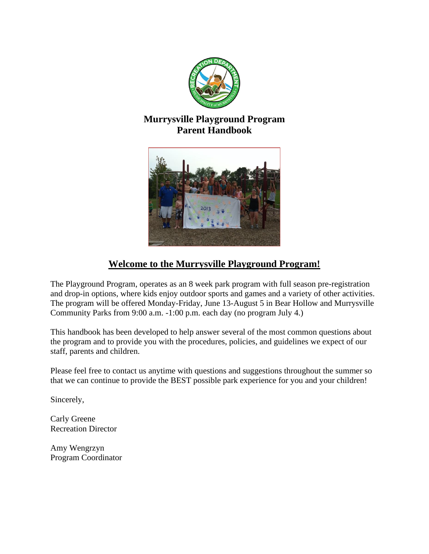

# **Murrysville Playground Program Parent Handbook**



# **Welcome to the Murrysville Playground Program!**

The Playground Program, operates as an 8 week park program with full season pre-registration and drop-in options, where kids enjoy outdoor sports and games and a variety of other activities. The program will be offered Monday-Friday, June 13-August 5 in Bear Hollow and Murrysville Community Parks from 9:00 a.m. -1:00 p.m. each day (no program July 4.)

This handbook has been developed to help answer several of the most common questions about the program and to provide you with the procedures, policies, and guidelines we expect of our staff, parents and children.

Please feel free to contact us anytime with questions and suggestions throughout the summer so that we can continue to provide the BEST possible park experience for you and your children!

Sincerely,

Carly Greene Recreation Director

Amy Wengrzyn Program Coordinator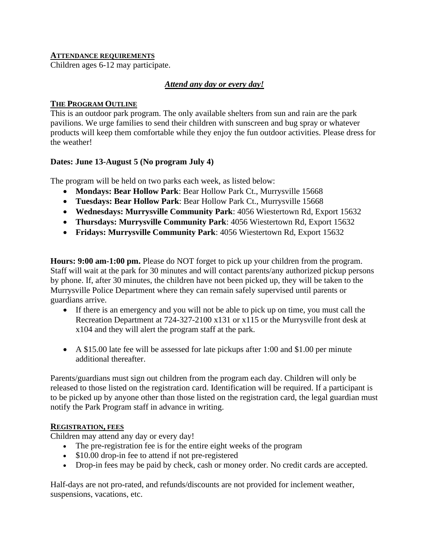## **ATTENDANCE REQUIREMENTS**

Children ages 6-12 may participate.

# *Attend any day or every day!*

### **THE PROGRAM OUTLINE**

This is an outdoor park program. The only available shelters from sun and rain are the park pavilions. We urge families to send their children with sunscreen and bug spray or whatever products will keep them comfortable while they enjoy the fun outdoor activities. Please dress for the weather!

## **Dates: June 13-August 5 (No program July 4)**

The program will be held on two parks each week, as listed below:

- **Mondays: [Bear Hollow Park](https://pa-murrysville.civicplus.com/Facilities/Facility/Details/Bear-Hollow-Park-4)**: Bear Hollow Park Ct., Murrysville 15668
- **Tuesdays: [Bear Hollow Park](https://pa-murrysville.civicplus.com/Facilities/Facility/Details/Bear-Hollow-Park-4)**: Bear Hollow Park Ct., Murrysville 15668
- **Wednesdays: [Murrysville Community Park](https://pa-murrysville.civicplus.com/Facilities/Facility/Details/Murrysville-Community-Park-Leftwich-Pavi-14)**: 4056 Wiestertown Rd, Export 15632
- **Thursdays: [Murrysville Community Park](https://pa-murrysville.civicplus.com/Facilities/Facility/Details/Murrysville-Community-Park-Leftwich-Pavi-14)**: 4056 Wiestertown Rd, Export 15632
- **Fridays: [Murrysville Community Park](https://pa-murrysville.civicplus.com/Facilities/Facility/Details/Murrysville-Community-Park-Leftwich-Pavi-14)**: 4056 Wiestertown Rd, Export 15632

**Hours: 9:00 am-1:00 pm.** Please do NOT forget to pick up your children from the program. Staff will wait at the park for 30 minutes and will contact parents/any authorized pickup persons by phone. If, after 30 minutes, the children have not been picked up, they will be taken to the Murrysville Police Department where they can remain safely supervised until parents or guardians arrive.

- If there is an emergency and you will not be able to pick up on time, you must call the Recreation Department at 724-327-2100 x131 or x115 or the Murrysville front desk at x104 and they will alert the program staff at the park.
- A \$15.00 late fee will be assessed for late pickups after 1:00 and \$1.00 per minute additional thereafter.

Parents/guardians must sign out children from the program each day. Children will only be released to those listed on the registration card. Identification will be required. If a participant is to be picked up by anyone other than those listed on the registration card, the legal guardian must notify the Park Program staff in advance in writing.

### **REGISTRATION, FEES**

Children may attend any day or every day!

- The pre-registration fee is for the entire eight weeks of the program
- \$10.00 drop-in fee to attend if not pre-registered
- Drop-in fees may be paid by check, cash or money order. No credit cards are accepted.

Half-days are not pro-rated, and refunds/discounts are not provided for inclement weather, suspensions, vacations, etc.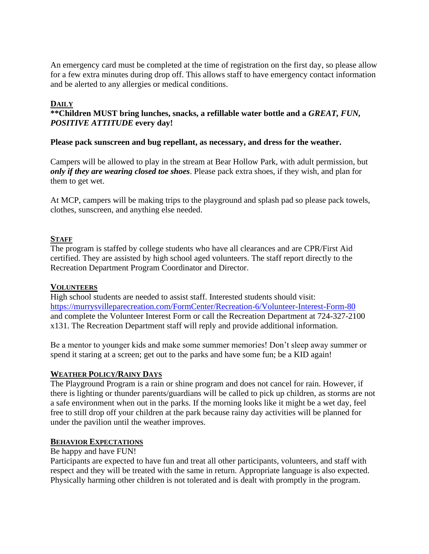An emergency card must be completed at the time of registration on the first day, so please allow for a few extra minutes during drop off. This allows staff to have emergency contact information and be alerted to any allergies or medical conditions.

# **DAILY**

# **\*\*Children MUST bring lunches, snacks, a refillable water bottle and a** *GREAT, FUN, POSITIVE ATTITUDE* **every day!**

# **Please pack sunscreen and bug repellant, as necessary, and dress for the weather.**

Campers will be allowed to play in the stream at Bear Hollow Park, with adult permission, but *only if they are wearing closed toe shoes*. Please pack extra shoes, if they wish, and plan for them to get wet.

At MCP, campers will be making trips to the playground and splash pad so please pack towels, clothes, sunscreen, and anything else needed.

## **STAFF**

The program is staffed by college students who have all clearances and are CPR/First Aid certified. They are assisted by high school aged volunteers. The staff report directly to the Recreation Department Program Coordinator and Director.

### **VOLUNTEERS**

High school students are needed to assist staff. Interested students should visit: <https://murrysvilleparecreation.com/FormCenter/Recreation-6/Volunteer-Interest-Form-80> and complete the Volunteer Interest Form or call the Recreation Department at 724-327-2100 x131. The Recreation Department staff will reply and provide additional information.

Be a mentor to younger kids and make some summer memories! Don't sleep away summer or spend it staring at a screen; get out to the parks and have some fun; be a KID again!

### **WEATHER POLICY/RAINY DAYS**

The Playground Program is a rain or shine program and does not cancel for rain. However, if there is lighting or thunder parents/guardians will be called to pick up children, as storms are not a safe environment when out in the parks. If the morning looks like it might be a wet day, feel free to still drop off your children at the park because rainy day activities will be planned for under the pavilion until the weather improves.

### **BEHAVIOR EXPECTATIONS**

### Be happy and have FUN!

Participants are expected to have fun and treat all other participants, volunteers, and staff with respect and they will be treated with the same in return. Appropriate language is also expected. Physically harming other children is not tolerated and is dealt with promptly in the program.